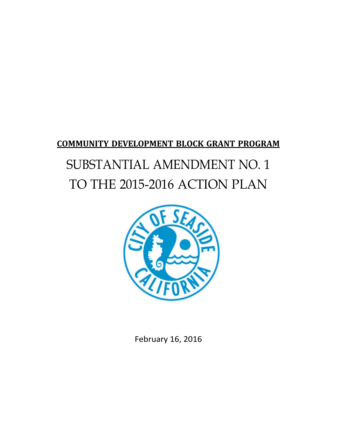# **COMMUNITY DEVELOPMENT BLOCK GRANT PROGRAM** SUBSTANTIAL AMENDMENT NO. 1 TO THE 2015-2016 ACTION PLAN



February 16, 2016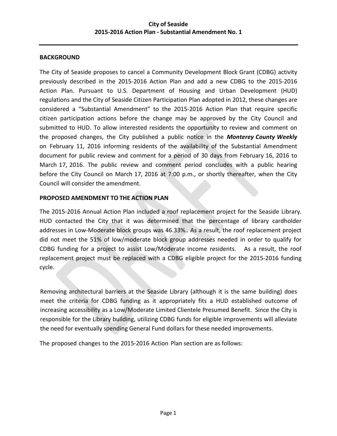## **BACKGROUND**

The City of Seaside proposes to cancel a Community Development Block Grant (CDBG) activity previously described in the 2015‐2016 Action Plan and add a new CDBG to the 2015‐2016 Action Plan. Pursuant to U.S. Department of Housing and Urban Development (HUD) regulations and the City of Seaside Citizen Participation Plan adopted in 2012, these changes are considered a "Substantial Amendment" to the 2015‐2016 Action Plan that require specific citizen participation actions before the change may be approved by the City Council and submitted to HUD. To allow interested residents the opportunity to review and comment on the proposed changes, the City published a public notice in the *Monterey County Weekly* on February 11, 2016 informing residents of the availability of the Substantial Amendment document for public review and comment for a period of 30 days from February 16, 2016 to March 17, 2016. The public review and comment period concludes with a public hearing before the City Council on March 17, 2016 at 7:00 p.m., or shortly thereafter, when the City Council will consider the amendment.

## **PROPOSED AMENDMENT TO THE ACTION PLAN**

The 2015-2016 Annual Action Plan included a roof replacement project for the Seaside Library. HUD contacted the City that it was determined that the percentage of library cardholder addresses in Low-Moderate block groups was 46.33%.. As a result, the roof replacement project did not meet the 51% of low/moderate block group addresses needed in order to qualify for CDBG funding for a project to assist Low/Moderate income residents. As a result, the roof replacement project must be replaced with a CDBG eligible project for the 2015-2016 funding cycle.

Removing architectural barriers at the Seaside Library (although it is the same building) does meet the criteria for CDBG funding as it appropriately fits a HUD established outcome of increasing accessibility as a Low/Moderate Limited Clientele Presumed Benefit. Since the City is responsible for the Library building, utilizing CDBG funds for eligible improvements will alleviate the need for eventually spending General Fund dollars for these needed improvements.

The proposed changes to the 2015‐2016 Action Plan section are as follows: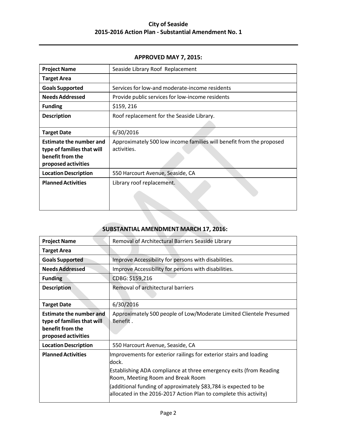# **City of Seaside 2015‐2016 Action Plan ‐ Substantial Amendment No. 1**

#### **APPROVED MAY 7, 2015:**

| <b>Project Name</b>                                                                                     | Seaside Library Roof Replacement                                                    |
|---------------------------------------------------------------------------------------------------------|-------------------------------------------------------------------------------------|
| <b>Target Area</b>                                                                                      |                                                                                     |
| <b>Goals Supported</b>                                                                                  | Services for low-and moderate-income residents                                      |
| <b>Needs Addressed</b>                                                                                  | Provide public services for low-income residents                                    |
| <b>Funding</b>                                                                                          | \$159, 216                                                                          |
| <b>Description</b>                                                                                      | Roof replacement for the Seaside Library.                                           |
|                                                                                                         |                                                                                     |
| <b>Target Date</b>                                                                                      | 6/30/2016                                                                           |
| <b>Estimate the number and</b><br>type of families that will<br>benefit from the<br>proposed activities | Approximately 500 low income families will benefit from the proposed<br>activities. |
| <b>Location Description</b>                                                                             | 550 Harcourt Avenue, Seaside, CA                                                    |
| <b>Planned Activities</b>                                                                               | Library roof replacement.                                                           |

# **SUBSTANTIAL AMENDMENT MARCH 17, 2016:**

| <b>Project Name</b>                                                                                     | Removal of Architectural Barriers Seaside Library                                                                                                                                                                                                                                                                                      |
|---------------------------------------------------------------------------------------------------------|----------------------------------------------------------------------------------------------------------------------------------------------------------------------------------------------------------------------------------------------------------------------------------------------------------------------------------------|
|                                                                                                         |                                                                                                                                                                                                                                                                                                                                        |
| <b>Target Area</b>                                                                                      |                                                                                                                                                                                                                                                                                                                                        |
| <b>Goals Supported</b>                                                                                  | Improve Accessibility for persons with disabilities.                                                                                                                                                                                                                                                                                   |
| <b>Needs Addressed</b>                                                                                  | Improve Accessibility for persons with disabilities.                                                                                                                                                                                                                                                                                   |
| <b>Funding</b>                                                                                          | CDBG: \$159,216                                                                                                                                                                                                                                                                                                                        |
| <b>Description</b>                                                                                      | Removal of architectural barriers                                                                                                                                                                                                                                                                                                      |
| <b>Target Date</b>                                                                                      | 6/30/2016                                                                                                                                                                                                                                                                                                                              |
| <b>Estimate the number and</b><br>type of families that will<br>benefit from the<br>proposed activities | Approximately 500 people of Low/Moderate Limited Clientele Presumed<br>Benefit.                                                                                                                                                                                                                                                        |
| <b>Location Description</b>                                                                             | 550 Harcourt Avenue, Seaside, CA                                                                                                                                                                                                                                                                                                       |
| <b>Planned Activities</b>                                                                               | Improvements for exterior railings for exterior stairs and loading<br>ldock.<br><b>Establishing ADA compliance at three emergency exits (from Reading</b><br>Room, Meeting Room and Break Room<br>(additional funding of approximately \$83,784 is expected to be<br>allocated in the 2016-2017 Action Plan to complete this activity) |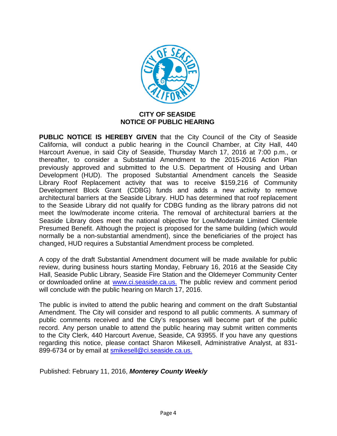

## **CITY OF SEASIDE NOTICE OF PUBLIC HEARING**

**PUBLIC NOTICE IS HEREBY GIVEN** that the City Council of the City of Seaside California, will conduct a public hearing in the Council Chamber, at City Hall, 440 Harcourt Avenue, in said City of Seaside, Thursday March 17, 2016 at 7:00 p.m., or thereafter, to consider a Substantial Amendment to the 2015-2016 Action Plan previously approved and submitted to the U.S. Department of Housing and Urban Development (HUD). The proposed Substantial Amendment cancels the Seaside Library Roof Replacement activity that was to receive \$159,216 of Community Development Block Grant (CDBG) funds and adds a new activity to remove architectural barriers at the Seaside Library. HUD has determined that roof replacement to the Seaside Library did not qualify for CDBG funding as the library patrons did not meet the low/moderate income criteria. The removal of architectural barriers at the Seaside Library does meet the national objective for Low/Moderate Limited Clientele Presumed Benefit. Although the project is proposed for the same building (which would normally be a non-substantial amendment), since the beneficiaries of the project has changed, HUD requires a Substantial Amendment process be completed.

A copy of the draft Substantial Amendment document will be made available for public review, during business hours starting Monday, February 16, 2016 at the Seaside City Hall, Seaside Public Library, Seaside Fire Station and the Oldemeyer Community Center or downloaded online at www.ci.seaside.ca.us. The public review and comment period will conclude with the public hearing on March 17, 2016.

The public is invited to attend the public hearing and comment on the draft Substantial Amendment. The City will consider and respond to all public comments. A summary of public comments received and the City's responses will become part of the public record. Any person unable to attend the public hearing may submit written comments to the City Clerk, 440 Harcourt Avenue, Seaside, CA 93955. If you have any questions regarding this notice, please contact Sharon Mikesell, Administrative Analyst, at 831 899-6734 or by email at [smikesell@ci.seaside.ca.us.](mailto:smikesell@ci.seaside.ca.us.)

Published: February 11, 2016, *Monterey County Weekly*